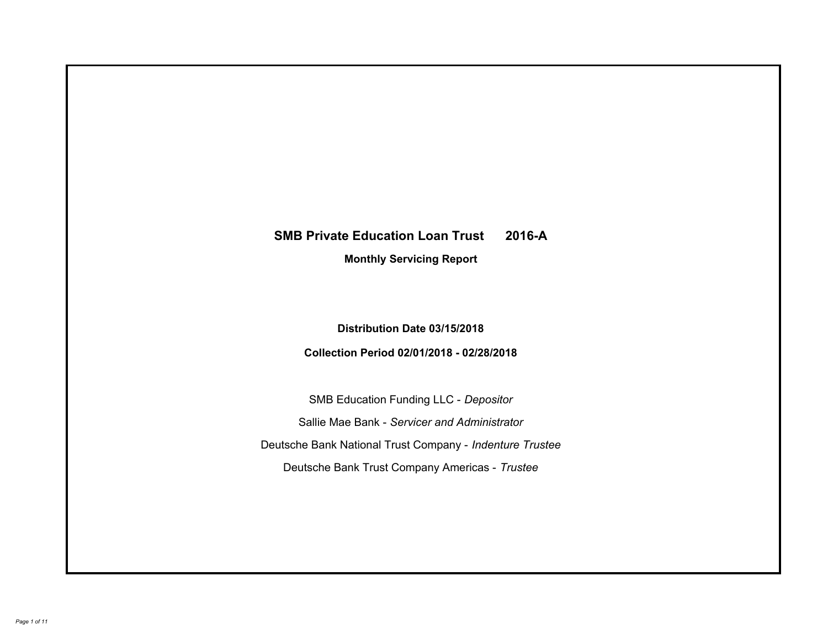# **SMB Private Education Loan Trust 2016-A Monthly Servicing Report**

# **Distribution Date 03/15/2018**

# **Collection Period 02/01/2018 - 02/28/2018**

SMB Education Funding LLC - *Depositor* Sallie Mae Bank - *Servicer and Administrator* Deutsche Bank National Trust Company - *Indenture Trustee* Deutsche Bank Trust Company Americas - *Trustee*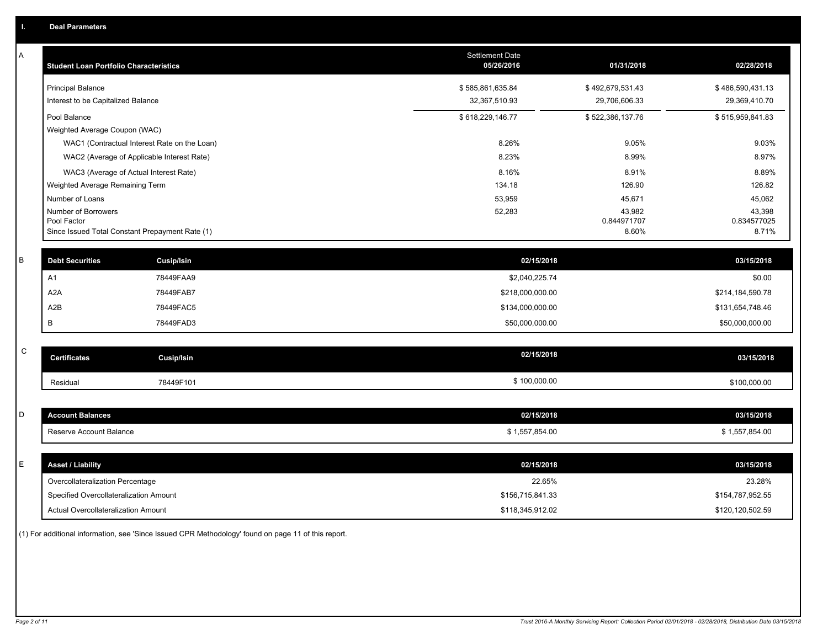| Α           | <b>Student Loan Portfolio Characteristics</b>                  |                                              | <b>Settlement Date</b><br>05/26/2016 | 01/31/2018           | 02/28/2018           |
|-------------|----------------------------------------------------------------|----------------------------------------------|--------------------------------------|----------------------|----------------------|
|             | <b>Principal Balance</b>                                       |                                              | \$585,861,635.84                     | \$492,679,531.43     | \$486,590,431.13     |
|             | Interest to be Capitalized Balance                             |                                              | 32,367,510.93                        | 29,706,606.33        | 29,369,410.70        |
|             | Pool Balance                                                   |                                              | \$618,229,146.77                     | \$522,386,137.76     | \$515,959,841.83     |
|             | Weighted Average Coupon (WAC)                                  |                                              |                                      |                      |                      |
|             |                                                                | WAC1 (Contractual Interest Rate on the Loan) | 8.26%                                | 9.05%                | 9.03%                |
|             |                                                                | WAC2 (Average of Applicable Interest Rate)   | 8.23%                                | 8.99%                | 8.97%                |
|             | WAC3 (Average of Actual Interest Rate)                         |                                              | 8.16%                                | 8.91%                | 8.89%                |
|             | Weighted Average Remaining Term                                |                                              | 134.18                               | 126.90               | 126.82               |
|             | Number of Loans                                                |                                              | 53,959                               | 45,671               | 45,062               |
|             | Number of Borrowers                                            |                                              | 52,283                               | 43,982               | 43,398               |
|             | Pool Factor<br>Since Issued Total Constant Prepayment Rate (1) |                                              |                                      | 0.844971707<br>8.60% | 0.834577025<br>8.71% |
|             |                                                                |                                              |                                      |                      |                      |
| $\sf B$     | <b>Debt Securities</b>                                         | Cusip/Isin                                   | 02/15/2018                           |                      | 03/15/2018           |
|             | A1                                                             | 78449FAA9                                    | \$2,040,225.74                       |                      | \$0.00               |
|             | A2A                                                            | 78449FAB7                                    | \$218,000,000.00                     |                      | \$214,184,590.78     |
|             | A2B                                                            | 78449FAC5                                    | \$134,000,000.00                     |                      | \$131,654,748.46     |
|             | В                                                              | 78449FAD3                                    | \$50,000,000.00                      |                      | \$50,000,000.00      |
|             |                                                                |                                              |                                      |                      |                      |
| $\mathsf C$ | <b>Certificates</b>                                            | Cusip/Isin                                   | 02/15/2018                           |                      | 03/15/2018           |
|             | Residual                                                       | 78449F101                                    | \$100,000.00                         |                      | \$100,000.00         |
|             |                                                                |                                              |                                      |                      |                      |
| D           | <b>Account Balances</b>                                        |                                              | 02/15/2018                           |                      | 03/15/2018           |
|             | Reserve Account Balance                                        |                                              | \$1,557,854.00                       |                      | \$1,557,854.00       |
|             |                                                                |                                              |                                      |                      |                      |
| Ε           | <b>Asset / Liability</b>                                       |                                              | 02/15/2018                           |                      | 03/15/2018           |
|             | Overcollateralization Percentage                               |                                              | 22.65%                               |                      | 23.28%               |
|             | Specified Overcollateralization Amount                         |                                              | \$156,715,841.33                     |                      | \$154,787,952.55     |
|             | <b>Actual Overcollateralization Amount</b>                     |                                              | \$118.345.912.02                     |                      | \$120.120.502.59     |

(1) For additional information, see 'Since Issued CPR Methodology' found on page 11 of this report.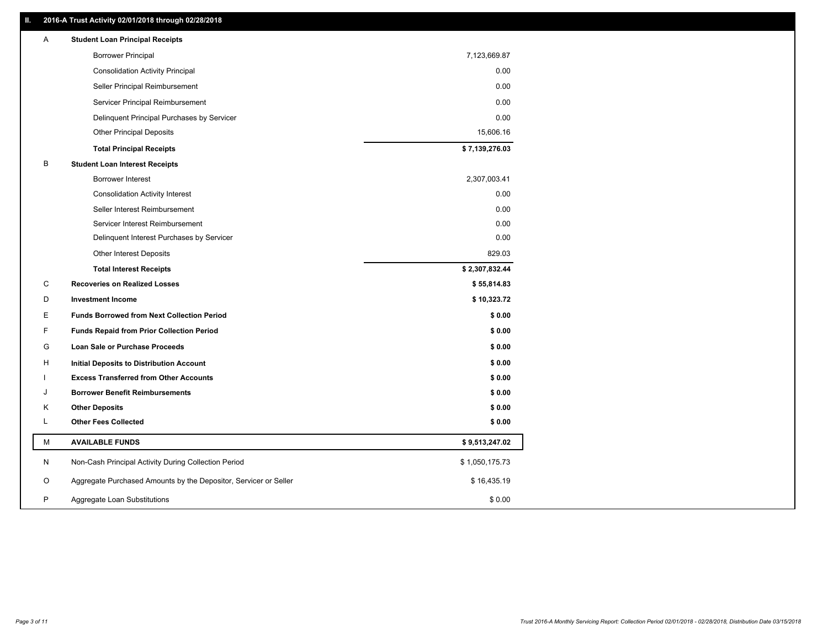### **II. 2016-A Trust Activity 02/01/2018 through 02/28/2018**

| Α | <b>Student Loan Principal Receipts</b>                           |                |
|---|------------------------------------------------------------------|----------------|
|   | <b>Borrower Principal</b>                                        | 7,123,669.87   |
|   | <b>Consolidation Activity Principal</b>                          | 0.00           |
|   | Seller Principal Reimbursement                                   | 0.00           |
|   | Servicer Principal Reimbursement                                 | 0.00           |
|   | Delinquent Principal Purchases by Servicer                       | 0.00           |
|   | <b>Other Principal Deposits</b>                                  | 15,606.16      |
|   | <b>Total Principal Receipts</b>                                  | \$7,139,276.03 |
| B | <b>Student Loan Interest Receipts</b>                            |                |
|   | <b>Borrower Interest</b>                                         | 2,307,003.41   |
|   | <b>Consolidation Activity Interest</b>                           | 0.00           |
|   | Seller Interest Reimbursement                                    | 0.00           |
|   | Servicer Interest Reimbursement                                  | 0.00           |
|   | Delinquent Interest Purchases by Servicer                        | 0.00           |
|   | <b>Other Interest Deposits</b>                                   | 829.03         |
|   | <b>Total Interest Receipts</b>                                   | \$2,307,832.44 |
| C | <b>Recoveries on Realized Losses</b>                             | \$55,814.83    |
| D | <b>Investment Income</b>                                         | \$10,323.72    |
| Е | <b>Funds Borrowed from Next Collection Period</b>                | \$0.00         |
| F | <b>Funds Repaid from Prior Collection Period</b>                 | \$0.00         |
| G | Loan Sale or Purchase Proceeds                                   | \$0.00         |
| H | Initial Deposits to Distribution Account                         | \$0.00         |
|   | <b>Excess Transferred from Other Accounts</b>                    | \$0.00         |
| J | <b>Borrower Benefit Reimbursements</b>                           | \$0.00         |
| Κ | <b>Other Deposits</b>                                            | \$0.00         |
| Г | <b>Other Fees Collected</b>                                      | \$0.00         |
| М | <b>AVAILABLE FUNDS</b>                                           | \$9,513,247.02 |
| N | Non-Cash Principal Activity During Collection Period             | \$1,050,175.73 |
| O | Aggregate Purchased Amounts by the Depositor, Servicer or Seller | \$16,435.19    |
| P | Aggregate Loan Substitutions                                     | \$0.00         |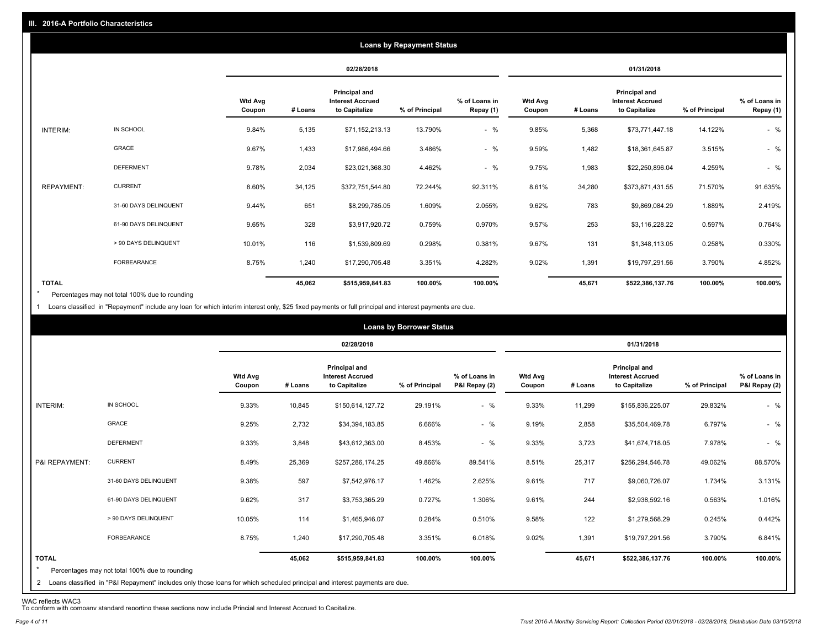|                   |                       |                          |         |                                                           | <b>Loans by Repayment Status</b> |                            |                          |         |                                                                  |                |                            |
|-------------------|-----------------------|--------------------------|---------|-----------------------------------------------------------|----------------------------------|----------------------------|--------------------------|---------|------------------------------------------------------------------|----------------|----------------------------|
|                   |                       |                          |         | 02/28/2018                                                |                                  |                            |                          |         | 01/31/2018                                                       |                |                            |
|                   |                       | <b>Wtd Avg</b><br>Coupon | # Loans | Principal and<br><b>Interest Accrued</b><br>to Capitalize | % of Principal                   | % of Loans in<br>Repay (1) | <b>Wtd Avg</b><br>Coupon | # Loans | <b>Principal and</b><br><b>Interest Accrued</b><br>to Capitalize | % of Principal | % of Loans in<br>Repay (1) |
| INTERIM:          | IN SCHOOL             | 9.84%                    | 5,135   | \$71,152,213.13                                           | 13.790%                          | $-$ %                      | 9.85%                    | 5,368   | \$73,771,447.18                                                  | 14.122%        | $-$ %                      |
|                   | GRACE                 | 9.67%                    | 1,433   | \$17,986,494.66                                           | 3.486%                           | $-$ %                      | 9.59%                    | 1,482   | \$18,361,645.87                                                  | 3.515%         | $-$ %                      |
|                   | <b>DEFERMENT</b>      | 9.78%                    | 2,034   | \$23,021,368.30                                           | 4.462%                           | $-$ %                      | 9.75%                    | 1,983   | \$22,250,896.04                                                  | 4.259%         | $-$ %                      |
| <b>REPAYMENT:</b> | <b>CURRENT</b>        | 8.60%                    | 34,125  | \$372,751,544.80                                          | 72.244%                          | 92.311%                    | 8.61%                    | 34,280  | \$373,871,431.55                                                 | 71.570%        | 91.635%                    |
|                   | 31-60 DAYS DELINQUENT | 9.44%                    | 651     | \$8,299,785.05                                            | 1.609%                           | 2.055%                     | 9.62%                    | 783     | \$9,869,084.29                                                   | 1.889%         | 2.419%                     |
|                   | 61-90 DAYS DELINQUENT | 9.65%                    | 328     | \$3,917,920.72                                            | 0.759%                           | 0.970%                     | 9.57%                    | 253     | \$3,116,228.22                                                   | 0.597%         | 0.764%                     |
|                   | > 90 DAYS DELINQUENT  | 10.01%                   | 116     | \$1,539,809.69                                            | 0.298%                           | 0.381%                     | 9.67%                    | 131     | \$1,348,113.05                                                   | 0.258%         | 0.330%                     |
|                   | <b>FORBEARANCE</b>    | 8.75%                    | 1,240   | \$17,290,705.48                                           | 3.351%                           | 4.282%                     | 9.02%                    | 1,391   | \$19,797,291.56                                                  | 3.790%         | 4.852%                     |
| <b>TOTAL</b>      |                       |                          | 45,062  | \$515,959,841.83                                          | 100.00%                          | 100.00%                    |                          | 45,671  | \$522,386,137.76                                                 | 100.00%        | 100.00%                    |

Percentages may not total 100% due to rounding \*

1 Loans classified in "Repayment" include any loan for which interim interest only, \$25 fixed payments or full principal and interest payments are due.

|                                                                                                                                                                                                           |                          |         | 02/28/2018                                                |                |                                |                          |         | 01/31/2018                                                       |                |                                |
|-----------------------------------------------------------------------------------------------------------------------------------------------------------------------------------------------------------|--------------------------|---------|-----------------------------------------------------------|----------------|--------------------------------|--------------------------|---------|------------------------------------------------------------------|----------------|--------------------------------|
|                                                                                                                                                                                                           | <b>Wtd Avg</b><br>Coupon | # Loans | Principal and<br><b>Interest Accrued</b><br>to Capitalize | % of Principal | % of Loans in<br>P&I Repay (2) | <b>Wtd Avg</b><br>Coupon | # Loans | <b>Principal and</b><br><b>Interest Accrued</b><br>to Capitalize | % of Principal | % of Loans in<br>P&I Repay (2) |
| IN SCHOOL<br>INTERIM:                                                                                                                                                                                     | 9.33%                    | 10,845  | \$150,614,127.72                                          | 29.191%        | $-$ %                          | 9.33%                    | 11,299  | \$155,836,225.07                                                 | 29.832%        | $-$ %                          |
| GRACE                                                                                                                                                                                                     | 9.25%                    | 2,732   | \$34,394,183.85                                           | 6.666%         | $-$ %                          | 9.19%                    | 2,858   | \$35,504,469.78                                                  | 6.797%         | $-$ %                          |
| <b>DEFERMENT</b>                                                                                                                                                                                          | 9.33%                    | 3,848   | \$43,612,363.00                                           | 8.453%         | $-$ %                          | 9.33%                    | 3,723   | \$41,674,718.05                                                  | 7.978%         | $-$ %                          |
| <b>CURRENT</b><br>P&I REPAYMENT:                                                                                                                                                                          | 8.49%                    | 25,369  | \$257,286,174.25                                          | 49.866%        | 89.541%                        | 8.51%                    | 25,317  | \$256,294,546.78                                                 | 49.062%        | 88.570%                        |
| 31-60 DAYS DELINQUENT                                                                                                                                                                                     | 9.38%                    | 597     | \$7,542,976.17                                            | 1.462%         | 2.625%                         | 9.61%                    | 717     | \$9,060,726.07                                                   | 1.734%         | 3.131%                         |
| 61-90 DAYS DELINQUENT                                                                                                                                                                                     | 9.62%                    | 317     | \$3,753,365.29                                            | 0.727%         | 1.306%                         | 9.61%                    | 244     | \$2,938,592.16                                                   | 0.563%         | 1.016%                         |
| > 90 DAYS DELINQUENT                                                                                                                                                                                      | 10.05%                   | 114     | \$1,465,946.07                                            | 0.284%         | 0.510%                         | 9.58%                    | 122     | \$1,279,568.29                                                   | 0.245%         | 0.442%                         |
| <b>FORBEARANCE</b>                                                                                                                                                                                        | 8.75%                    | 1,240   | \$17,290,705.48                                           | 3.351%         | 6.018%                         | 9.02%                    | 1,391   | \$19,797,291.56                                                  | 3.790%         | 6.841%                         |
| <b>TOTAL</b><br>$\star$<br>Percentages may not total 100% due to rounding<br>2 Loans classified in "P&I Repayment" includes only those loans for which scheduled principal and interest payments are due. |                          | 45,062  | \$515,959,841.83                                          | 100.00%        | 100.00%                        |                          | 45,671  | \$522,386,137.76                                                 | 100.00%        | 100.00%                        |

WAC reflects WAC3 To conform with company standard reporting these sections now include Princial and Interest Accrued to Capitalize.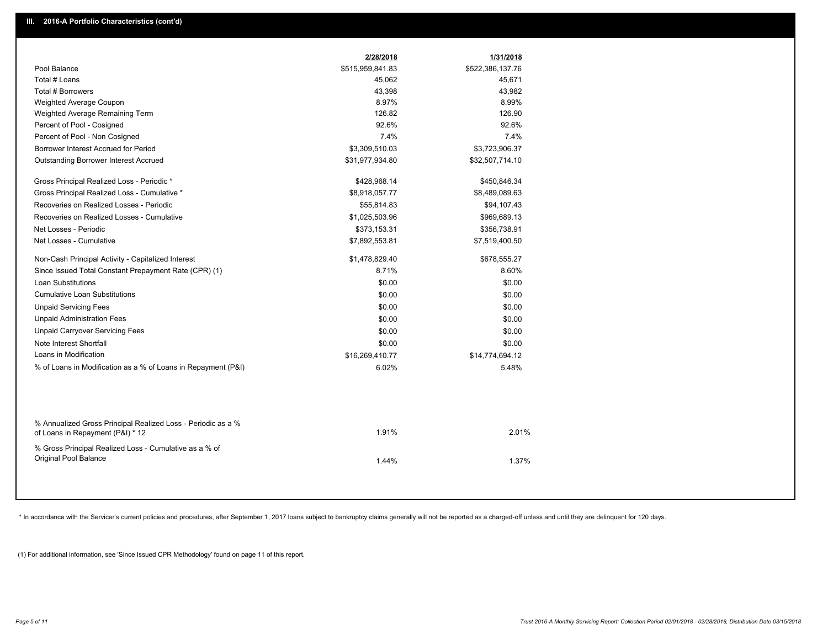|                                                                                                  | 2/28/2018        | 1/31/2018        |
|--------------------------------------------------------------------------------------------------|------------------|------------------|
| Pool Balance                                                                                     | \$515,959,841.83 | \$522,386,137.76 |
| Total # Loans                                                                                    | 45,062           | 45,671           |
| Total # Borrowers                                                                                | 43,398           | 43,982           |
| Weighted Average Coupon                                                                          | 8.97%            | 8.99%            |
| Weighted Average Remaining Term                                                                  | 126.82           | 126.90           |
| Percent of Pool - Cosigned                                                                       | 92.6%            | 92.6%            |
| Percent of Pool - Non Cosigned                                                                   | 7.4%             | 7.4%             |
| Borrower Interest Accrued for Period                                                             | \$3,309,510.03   | \$3,723,906.37   |
| <b>Outstanding Borrower Interest Accrued</b>                                                     | \$31,977,934.80  | \$32,507,714.10  |
| Gross Principal Realized Loss - Periodic *                                                       | \$428,968.14     | \$450,846.34     |
| Gross Principal Realized Loss - Cumulative *                                                     | \$8,918,057.77   | \$8,489,089.63   |
| Recoveries on Realized Losses - Periodic                                                         | \$55,814.83      | \$94,107.43      |
| Recoveries on Realized Losses - Cumulative                                                       | \$1,025,503.96   | \$969,689.13     |
| Net Losses - Periodic                                                                            | \$373,153.31     | \$356,738.91     |
| Net Losses - Cumulative                                                                          | \$7,892,553.81   | \$7,519,400.50   |
| Non-Cash Principal Activity - Capitalized Interest                                               | \$1,478,829.40   | \$678,555.27     |
| Since Issued Total Constant Prepayment Rate (CPR) (1)                                            | 8.71%            | 8.60%            |
| <b>Loan Substitutions</b>                                                                        | \$0.00           | \$0.00           |
| <b>Cumulative Loan Substitutions</b>                                                             | \$0.00           | \$0.00           |
| <b>Unpaid Servicing Fees</b>                                                                     | \$0.00           | \$0.00           |
| <b>Unpaid Administration Fees</b>                                                                | \$0.00           | \$0.00           |
| <b>Unpaid Carryover Servicing Fees</b>                                                           | \$0.00           | \$0.00           |
| Note Interest Shortfall                                                                          | \$0.00           | \$0.00           |
| Loans in Modification                                                                            | \$16,269,410.77  | \$14,774,694.12  |
| % of Loans in Modification as a % of Loans in Repayment (P&I)                                    | 6.02%            | 5.48%            |
|                                                                                                  |                  |                  |
| % Annualized Gross Principal Realized Loss - Periodic as a %<br>of Loans in Repayment (P&I) * 12 | 1.91%            | 2.01%            |
| % Gross Principal Realized Loss - Cumulative as a % of                                           |                  |                  |
| Original Pool Balance                                                                            | 1.44%            | 1.37%            |
|                                                                                                  |                  |                  |

\* In accordance with the Servicer's current policies and procedures, after September 1, 2017 loans subject to bankruptcy claims generally will not be reported as a charged-off unless and until they are delinquent for 120 d

(1) For additional information, see 'Since Issued CPR Methodology' found on page 11 of this report.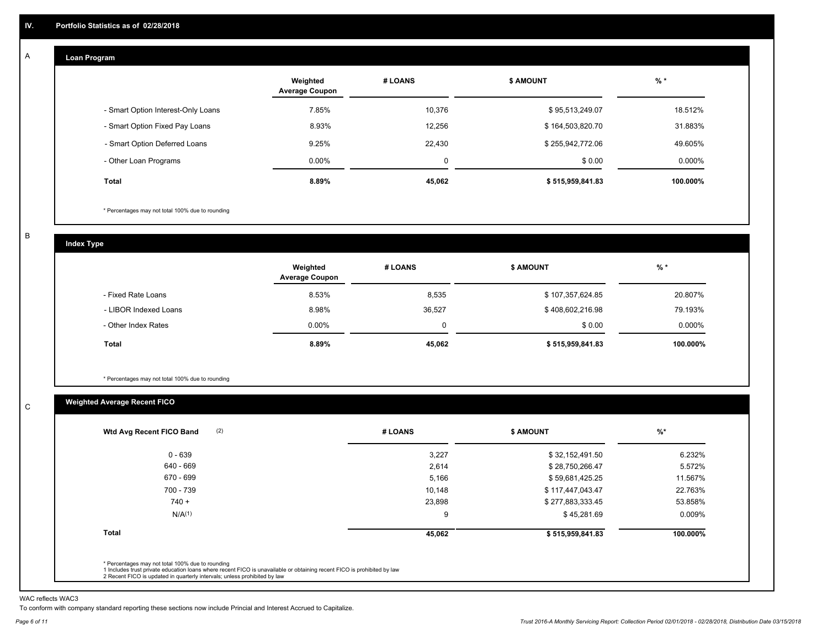#### **Loan Program**  A

|                                    | Weighted<br><b>Average Coupon</b> | # LOANS     | <b>\$ AMOUNT</b> | $%$ *     |
|------------------------------------|-----------------------------------|-------------|------------------|-----------|
| - Smart Option Interest-Only Loans | 7.85%                             | 10,376      | \$95,513,249.07  | 18.512%   |
| - Smart Option Fixed Pay Loans     | 8.93%                             | 12,256      | \$164,503,820.70 | 31.883%   |
| - Smart Option Deferred Loans      | 9.25%                             | 22.430      | \$255,942,772.06 | 49.605%   |
| - Other Loan Programs              | $0.00\%$                          | $\mathbf 0$ | \$0.00           | $0.000\%$ |
| <b>Total</b>                       | 8.89%                             | 45,062      | \$515,959,841.83 | 100.000%  |

\* Percentages may not total 100% due to rounding

B

C

**Index Type**

|                       | Weighted<br><b>Average Coupon</b> | # LOANS | <b>\$ AMOUNT</b> | $%$ *     |
|-----------------------|-----------------------------------|---------|------------------|-----------|
| - Fixed Rate Loans    | 8.53%                             | 8,535   | \$107,357,624.85 | 20.807%   |
| - LIBOR Indexed Loans | 8.98%                             | 36,527  | \$408,602,216.98 | 79.193%   |
| - Other Index Rates   | $0.00\%$                          |         | \$0.00           | $0.000\%$ |
| Total                 | 8.89%                             | 45,062  | \$515,959,841.83 | 100.000%  |

\* Percentages may not total 100% due to rounding

### **Weighted Average Recent FICO**

|                    |        |                  | $%$ *    |
|--------------------|--------|------------------|----------|
| $0 - 639$          | 3,227  | \$32,152,491.50  | 6.232%   |
| 640 - 669          | 2,614  | \$28,750,266.47  | 5.572%   |
| 670 - 699          | 5,166  | \$59,681,425.25  | 11.567%  |
| 700 - 739          | 10,148 | \$117,447,043.47 | 22.763%  |
| $740 +$            | 23,898 | \$277,883,333.45 | 53.858%  |
| N/A <sup>(1)</sup> | 9      | \$45,281.69      | 0.009%   |
| <b>Total</b>       | 45,062 | \$515,959,841.83 | 100.000% |

WAC reflects WAC3

To conform with company standard reporting these sections now include Princial and Interest Accrued to Capitalize.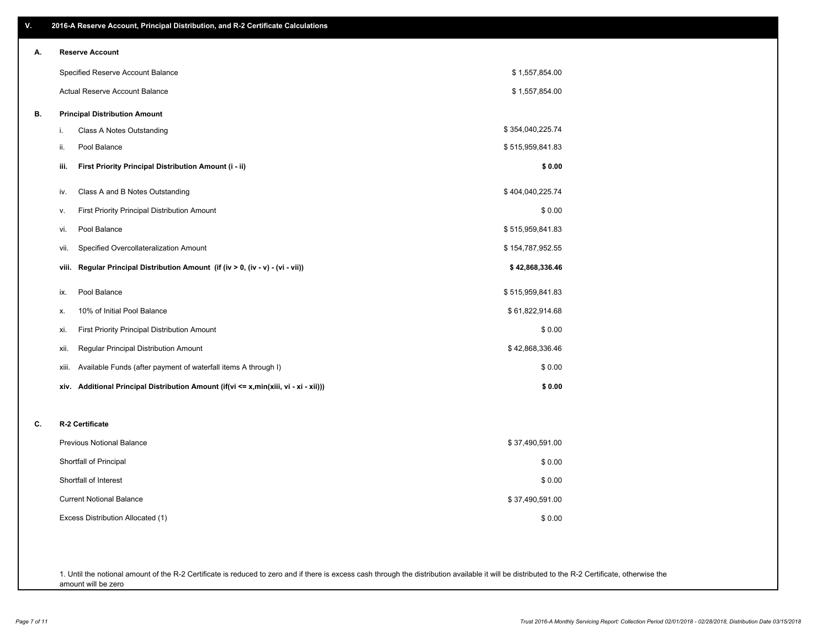| ۷. | 2016-A Reserve Account, Principal Distribution, and R-2 Certificate Calculations        |                  |  |
|----|-----------------------------------------------------------------------------------------|------------------|--|
| А. | <b>Reserve Account</b>                                                                  |                  |  |
|    | Specified Reserve Account Balance                                                       | \$1,557,854.00   |  |
|    | Actual Reserve Account Balance                                                          | \$1,557,854.00   |  |
| В. | <b>Principal Distribution Amount</b>                                                    |                  |  |
|    | Class A Notes Outstanding<br>i.                                                         | \$354,040,225.74 |  |
|    | Pool Balance<br>ii.                                                                     | \$515,959,841.83 |  |
|    | iii.<br>First Priority Principal Distribution Amount (i - ii)                           | \$0.00           |  |
|    | Class A and B Notes Outstanding<br>iv.                                                  | \$404,040,225.74 |  |
|    | First Priority Principal Distribution Amount<br>۷.                                      | \$0.00           |  |
|    | Pool Balance<br>vi.                                                                     | \$515,959,841.83 |  |
|    | Specified Overcollateralization Amount<br>Vii.                                          | \$154,787,952.55 |  |
|    | Regular Principal Distribution Amount (if (iv > 0, (iv - v) - (vi - vii))<br>viii.      | \$42,868,336.46  |  |
|    | Pool Balance<br>ix.                                                                     | \$515,959,841.83 |  |
|    | 10% of Initial Pool Balance<br>х.                                                       | \$61,822,914.68  |  |
|    | <b>First Priority Principal Distribution Amount</b><br>xi.                              | \$0.00           |  |
|    | Regular Principal Distribution Amount<br>xii.                                           | \$42,868,336.46  |  |
|    | Available Funds (after payment of waterfall items A through I)<br>xiii.                 | \$0.00           |  |
|    | Additional Principal Distribution Amount (if(vi <= x,min(xiii, vi - xi - xii)))<br>xiv. | \$0.00           |  |
|    |                                                                                         |                  |  |
| C. | R-2 Certificate                                                                         |                  |  |
|    | <b>Previous Notional Balance</b>                                                        | \$37,490,591.00  |  |
|    | Shortfall of Principal                                                                  | \$0.00           |  |
|    | Shortfall of Interest                                                                   | \$0.00           |  |
|    | <b>Current Notional Balance</b>                                                         | \$37,490,591.00  |  |
|    | Excess Distribution Allocated (1)                                                       | \$0.00           |  |
|    |                                                                                         |                  |  |
|    |                                                                                         |                  |  |

1. Until the notional amount of the R-2 Certificate is reduced to zero and if there is excess cash through the distribution available it will be distributed to the R-2 Certificate, otherwise the amount will be zero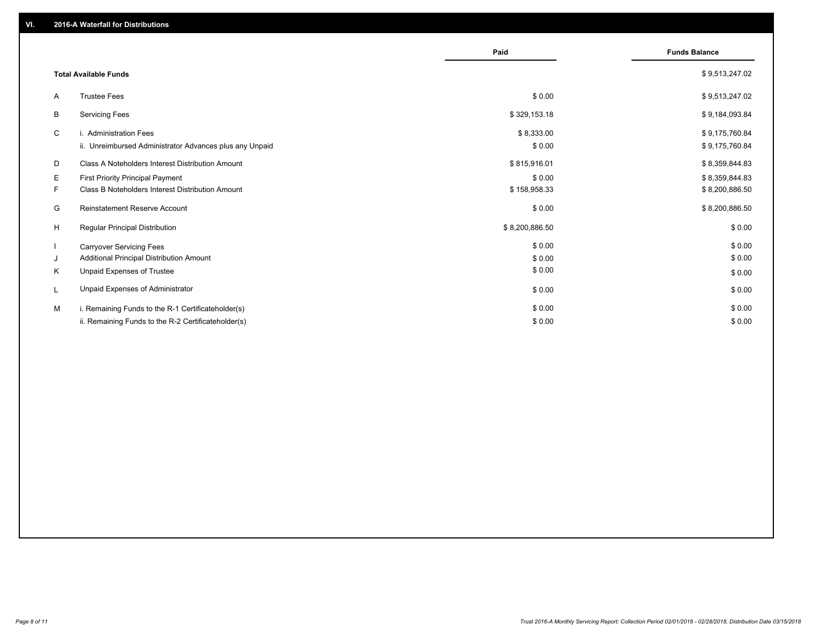|                                                         | Paid           | <b>Funds Balance</b> |
|---------------------------------------------------------|----------------|----------------------|
| <b>Total Available Funds</b>                            |                | \$9,513,247.02       |
| <b>Trustee Fees</b><br>A                                | \$0.00         | \$9,513,247.02       |
| В<br><b>Servicing Fees</b>                              | \$329,153.18   | \$9,184,093.84       |
| C<br>i. Administration Fees                             | \$8,333.00     | \$9,175,760.84       |
| ii. Unreimbursed Administrator Advances plus any Unpaid | \$0.00         | \$9,175,760.84       |
| Class A Noteholders Interest Distribution Amount<br>D   | \$815,916.01   | \$8,359,844.83       |
| Е<br><b>First Priority Principal Payment</b>            | \$0.00         | \$8,359,844.83       |
| Class B Noteholders Interest Distribution Amount<br>F.  | \$158,958.33   | \$8,200,886.50       |
| G<br>Reinstatement Reserve Account                      | \$0.00         | \$8,200,886.50       |
| H<br><b>Regular Principal Distribution</b>              | \$8,200,886.50 | \$0.00               |
| <b>Carryover Servicing Fees</b>                         | \$0.00         | \$0.00               |
| Additional Principal Distribution Amount<br>J           | \$0.00         | \$0.00               |
| Κ<br>Unpaid Expenses of Trustee                         | \$0.00         | \$0.00               |
| Unpaid Expenses of Administrator<br>L                   | \$0.00         | \$0.00               |
| i. Remaining Funds to the R-1 Certificateholder(s)<br>M | \$0.00         | \$0.00               |
| ii. Remaining Funds to the R-2 Certificateholder(s)     | \$0.00         | \$0.00               |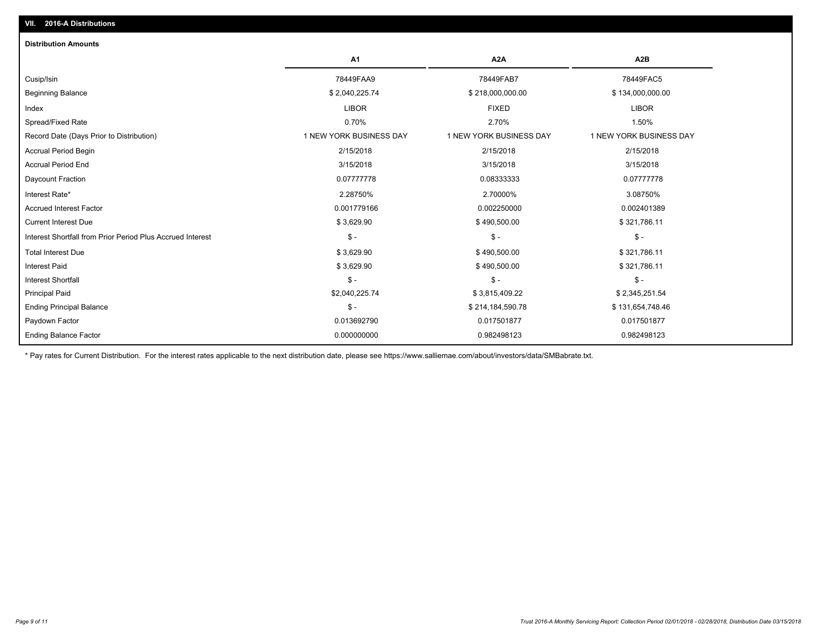| <b>Distribution Amounts</b>                                |                         |                         |                         |
|------------------------------------------------------------|-------------------------|-------------------------|-------------------------|
|                                                            | A1                      | A <sub>2</sub> A        | A <sub>2</sub> B        |
| Cusip/Isin                                                 | 78449FAA9               | 78449FAB7               | 78449FAC5               |
| <b>Beginning Balance</b>                                   | \$2,040,225.74          | \$218,000,000.00        | \$134,000,000.00        |
| Index                                                      | <b>LIBOR</b>            | <b>FIXED</b>            | <b>LIBOR</b>            |
| Spread/Fixed Rate                                          | 0.70%                   | 2.70%                   | 1.50%                   |
| Record Date (Days Prior to Distribution)                   | 1 NEW YORK BUSINESS DAY | 1 NEW YORK BUSINESS DAY | 1 NEW YORK BUSINESS DAY |
| <b>Accrual Period Begin</b>                                | 2/15/2018               | 2/15/2018               | 2/15/2018               |
| <b>Accrual Period End</b>                                  | 3/15/2018               | 3/15/2018               | 3/15/2018               |
| Daycount Fraction                                          | 0.07777778              | 0.08333333              | 0.07777778              |
| Interest Rate*                                             | 2.28750%                | 2.70000%                | 3.08750%                |
| <b>Accrued Interest Factor</b>                             | 0.001779166             | 0.002250000             | 0.002401389             |
| <b>Current Interest Due</b>                                | \$3,629.90              | \$490,500.00            | \$321,786.11            |
| Interest Shortfall from Prior Period Plus Accrued Interest | $\mathsf{\$}$ -         | $\mathsf{\$}$ -         | $S -$                   |
| <b>Total Interest Due</b>                                  | \$3,629.90              | \$490,500.00            | \$321,786.11            |
| <b>Interest Paid</b>                                       | \$3,629.90              | \$490,500.00            | \$321,786.11            |
| <b>Interest Shortfall</b>                                  | $\mathsf{\$}$ -         | $\mathsf{\$}$ -         | $S -$                   |
| <b>Principal Paid</b>                                      | \$2,040,225.74          | \$3,815,409.22          | \$2,345,251.54          |
| <b>Ending Principal Balance</b>                            | $\mathsf{\$}$ -         | \$214,184,590.78        | \$131,654,748.46        |
| Paydown Factor                                             | 0.013692790             | 0.017501877             | 0.017501877             |
| <b>Ending Balance Factor</b>                               | 0.000000000             | 0.982498123             | 0.982498123             |

\* Pay rates for Current Distribution. For the interest rates applicable to the next distribution date, please see https://www.salliemae.com/about/investors/data/SMBabrate.txt.

**VII. 2016-A Distributions**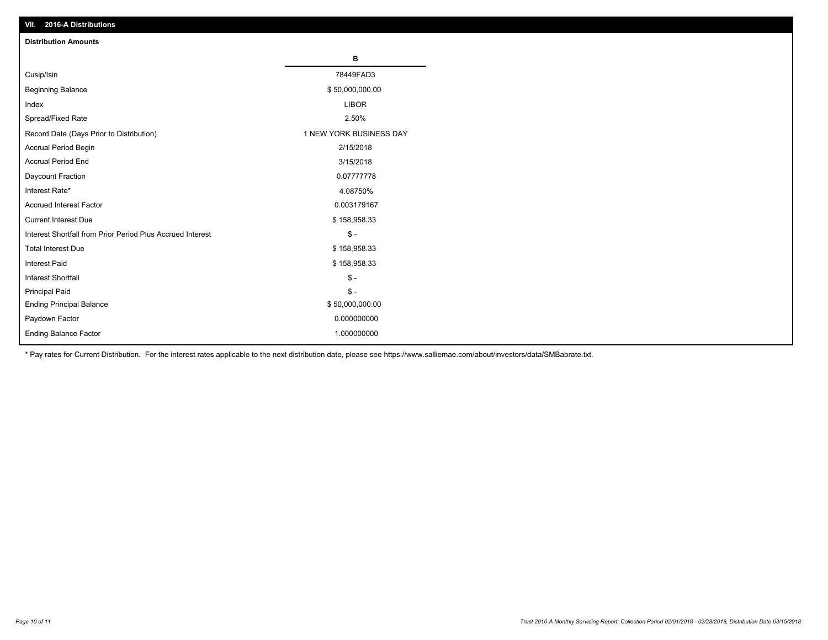| VII. 40 IV-A DISTINUTIONS                                  |                         |
|------------------------------------------------------------|-------------------------|
| <b>Distribution Amounts</b>                                |                         |
|                                                            | в                       |
| Cusip/Isin                                                 | 78449FAD3               |
| <b>Beginning Balance</b>                                   | \$50,000,000.00         |
| Index                                                      | <b>LIBOR</b>            |
| Spread/Fixed Rate                                          | 2.50%                   |
| Record Date (Days Prior to Distribution)                   | 1 NEW YORK BUSINESS DAY |
| Accrual Period Begin                                       | 2/15/2018               |
| <b>Accrual Period End</b>                                  | 3/15/2018               |
| Daycount Fraction                                          | 0.07777778              |
| Interest Rate*                                             | 4.08750%                |
| <b>Accrued Interest Factor</b>                             | 0.003179167             |
| <b>Current Interest Due</b>                                | \$158,958.33            |
| Interest Shortfall from Prior Period Plus Accrued Interest | $\frac{2}{3}$ -         |
| <b>Total Interest Due</b>                                  | \$158,958.33            |
| Interest Paid                                              | \$158,958.33            |
| <b>Interest Shortfall</b>                                  | $$ -$                   |
| <b>Principal Paid</b>                                      | $\frac{2}{3}$ -         |
| <b>Ending Principal Balance</b>                            | \$50,000,000.00         |
| Paydown Factor                                             | 0.000000000             |
| <b>Ending Balance Factor</b>                               | 1.000000000             |

\* Pay rates for Current Distribution. For the interest rates applicable to the next distribution date, please see https://www.salliemae.com/about/investors/data/SMBabrate.txt.

**VII. 2016-A Distributions**